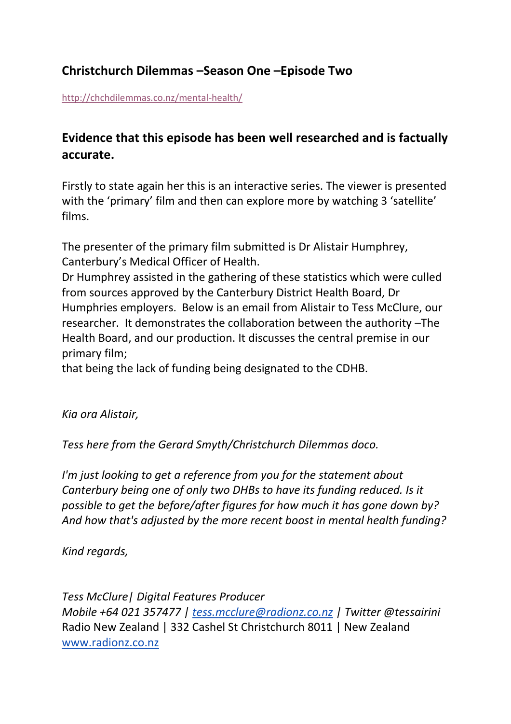## **Christchurch Dilemmas –Season One –Episode Two**

<http://chchdilemmas.co.nz/mental-health/>

## **Evidence that this episode has been well researched and is factually accurate.**

Firstly to state again her this is an interactive series. The viewer is presented with the 'primary' film and then can explore more by watching 3 'satellite' films.

The presenter of the primary film submitted is Dr Alistair Humphrey, Canterbury's Medical Officer of Health.

Dr Humphrey assisted in the gathering of these statistics which were culled from sources approved by the Canterbury District Health Board, Dr Humphries employers. Below is an email from Alistair to Tess McClure, our researcher. It demonstrates the collaboration between the authority –The Health Board, and our production. It discusses the central premise in our primary film;

that being the lack of funding being designated to the CDHB.

*Kia ora Alistair,*

*Tess here from the Gerard Smyth/Christchurch Dilemmas doco.*

*I'm just looking to get a reference from you for the statement about Canterbury being one of only two DHBs to have its funding reduced. Is it possible to get the before/after figures for how much it has gone down by? And how that's adjusted by the more recent boost in mental health funding?*

*Kind regards,*

*Tess McClure| Digital Features Producer Mobile +64 021 357477 | [tess.mcclure@radionz.co.nz](mailto:tess.mcclure@radionz.co.nz) | Twitter @tessairini* Radio New Zealand | 332 Cashel St Christchurch 8011 | New Zealand [www.radionz.co.nz](http://www.radionz.co.nz/)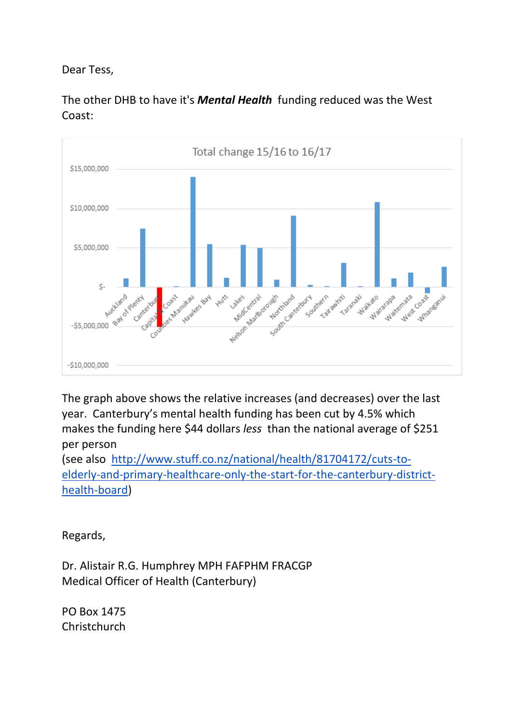Dear Tess,



The other DHB to have it's *Mental Health* funding reduced was the West Coast:

The graph above shows the relative increases (and decreases) over the last year. Canterbury's mental health funding has been cut by 4.5% which makes the funding here \$44 dollars *less* than the national average of \$251 per person

(see also [http://www.stuff.co.nz/national/health/81704172/cuts-to](http://www.stuff.co.nz/national/health/81704172/cuts-to-elderly-and-primary-healthcare-only-the-start-for-the-canterbury-district-health-board)[elderly-and-primary-healthcare-only-the-start-for-the-canterbury-district](http://www.stuff.co.nz/national/health/81704172/cuts-to-elderly-and-primary-healthcare-only-the-start-for-the-canterbury-district-health-board)[health-board\)](http://www.stuff.co.nz/national/health/81704172/cuts-to-elderly-and-primary-healthcare-only-the-start-for-the-canterbury-district-health-board)

Regards,

Dr. Alistair R.G. Humphrey MPH FAFPHM FRACGP Medical Officer of Health (Canterbury)

PO Box 1475 **Christchurch**